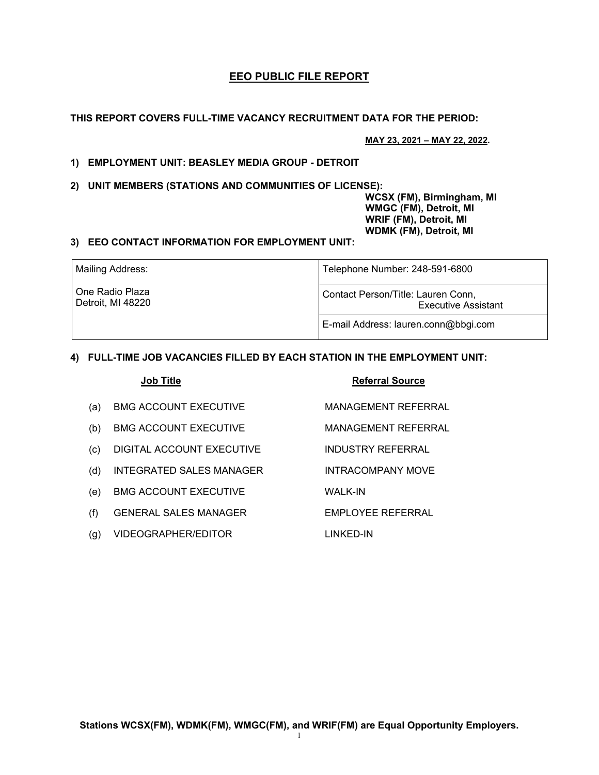# **EEO PUBLIC FILE REPORT**

**THIS REPORT COVERS FULL-TIME VACANCY RECRUITMENT DATA FOR THE PERIOD:** 

**MAY 23, 2021 – MAY 22, 2022.**

# **1) EMPLOYMENT UNIT: BEASLEY MEDIA GROUP - DETROIT**

**2) UNIT MEMBERS (STATIONS AND COMMUNITIES OF LICENSE):** 

 **WCSX (FM), Birmingham, MI WMGC (FM), Detroit, MI WRIF (FM), Detroit, MI WDMK (FM), Detroit, MI** 

## **3) EEO CONTACT INFORMATION FOR EMPLOYMENT UNIT:**

| Mailing Address:                     | Telephone Number: 248-591-6800                                   |  |
|--------------------------------------|------------------------------------------------------------------|--|
| One Radio Plaza<br>Detroit, MI 48220 | Contact Person/Title: Lauren Conn,<br><b>Executive Assistant</b> |  |
|                                      | E-mail Address: lauren.conn@bbgi.com                             |  |

## **4) FULL-TIME JOB VACANCIES FILLED BY EACH STATION IN THE EMPLOYMENT UNIT:**

|     | <b>Job Title</b>                | <b>Referral Source</b> |
|-----|---------------------------------|------------------------|
| (a) | <b>BMG ACCOUNT EXECUTIVE</b>    | MANAGEMENT REFERRAL    |
| (b) | <b>BMG ACCOUNT EXECUTIVE</b>    | MANAGEMENT REFERRAL    |
| (c) | DIGITAL ACCOUNT EXECUTIVE       | INDUSTRY REFERRAL      |
| (d) | <b>INTEGRATED SALES MANAGER</b> | INTRACOMPANY MOVE      |
| (e) | <b>BMG ACCOUNT EXECUTIVE</b>    | WALK-IN                |
| (f) | GENERAL SALES MANAGER           | EMPLOYEE REFERRAL      |
| (g) | VIDEOGRAPHER/EDITOR             | LINKED-IN              |

**Stations WCSX(FM), WDMK(FM), WMGC(FM), and WRIF(FM) are Equal Opportunity Employers.**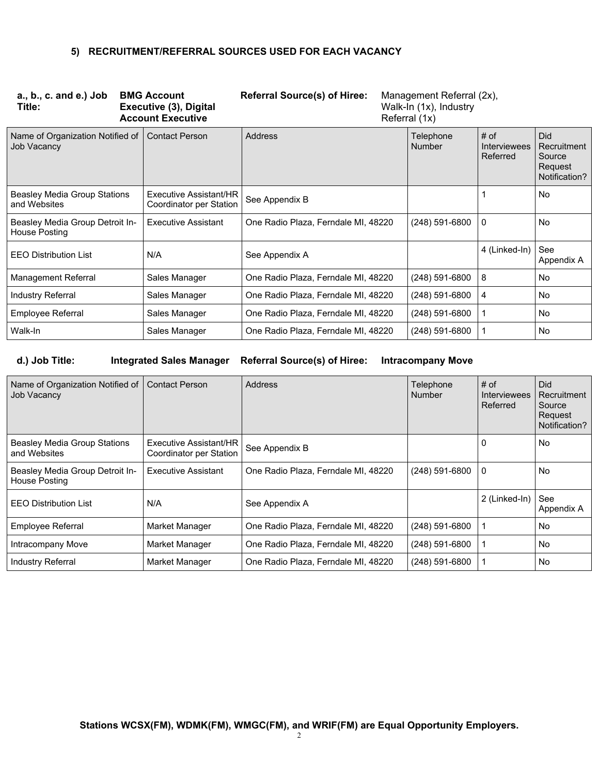## **5) RECRUITMENT/REFERRAL SOURCES USED FOR EACH VACANCY**

| $a, b, c.$ and $e$ .) Job<br>Title:              | <b>BMG Account</b><br>Executive (3), Digital<br><b>Account Executive</b> | <b>Referral Source(s) of Hiree:</b> | Management Referral (2x),<br>Walk-In (1x), Industry<br>Referral (1x) |                                           |                                                                 |
|--------------------------------------------------|--------------------------------------------------------------------------|-------------------------------------|----------------------------------------------------------------------|-------------------------------------------|-----------------------------------------------------------------|
| Name of Organization Notified of<br>Job Vacancy  | <b>Contact Person</b>                                                    | <b>Address</b>                      | Telephone<br>Number                                                  | $#$ of<br><b>Interviewees</b><br>Referred | <b>Did</b><br>Recruitment<br>Source<br>Request<br>Notification? |
| Beasley Media Group Stations<br>and Websites     | Executive Assistant/HR<br>Coordinator per Station                        | See Appendix B                      |                                                                      |                                           | <b>No</b>                                                       |
| Beasley Media Group Detroit In-<br>House Posting | Executive Assistant                                                      | One Radio Plaza, Ferndale MI, 48220 | $(248)$ 591-6800                                                     | 0                                         | No                                                              |
| <b>EEO Distribution List</b>                     | N/A                                                                      | See Appendix A                      |                                                                      | 4 (Linked-In)                             | See<br>Appendix A                                               |
| <b>Management Referral</b>                       | Sales Manager                                                            | One Radio Plaza, Ferndale MI, 48220 | $(248)$ 591-6800                                                     | 8                                         | <b>No</b>                                                       |
| Industry Referral                                | Sales Manager                                                            | One Radio Plaza, Ferndale MI, 48220 | $(248)$ 591-6800                                                     | 4                                         | <b>No</b>                                                       |
| Employee Referral                                | Sales Manager                                                            | One Radio Plaza, Ferndale MI, 48220 | (248) 591-6800                                                       | $\mathbf 1$                               | <b>No</b>                                                       |
| Walk-In                                          | Sales Manager                                                            | One Radio Plaza, Ferndale MI, 48220 | $(248)$ 591-6800                                                     | 1                                         | No                                                              |

**d.) Job Title: Integrated Sales Manager Referral Source(s) of Hiree: Intracompany Move** 

| Name of Organization Notified of   Contact Person<br><b>Job Vacancy</b> |                                                   | Address                             | Telephone<br><b>Number</b> | $#$ of<br><b>Interviewees</b><br>Referred | Did<br>Recruitment<br>Source<br>Request<br>Notification? |
|-------------------------------------------------------------------------|---------------------------------------------------|-------------------------------------|----------------------------|-------------------------------------------|----------------------------------------------------------|
| <b>Beasley Media Group Stations</b><br>and Websites                     | Executive Assistant/HR<br>Coordinator per Station | See Appendix B                      |                            | 0                                         | No                                                       |
| Beasley Media Group Detroit In-<br>House Posting                        | <b>Executive Assistant</b>                        | One Radio Plaza, Ferndale MI, 48220 | (248) 591-6800             | 0                                         | <b>No</b>                                                |
| <b>EEO Distribution List</b>                                            | N/A                                               | See Appendix A                      |                            | 2 (Linked-In)                             | See<br>Appendix A                                        |
| <b>Employee Referral</b>                                                | Market Manager                                    | One Radio Plaza, Ferndale MI, 48220 | $(248)$ 591-6800           |                                           | No                                                       |
| Intracompany Move                                                       | Market Manager                                    | One Radio Plaza, Ferndale MI, 48220 | (248) 591-6800             |                                           | No.                                                      |
| Industry Referral                                                       | Market Manager                                    | One Radio Plaza, Ferndale MI, 48220 | (248) 591-6800             |                                           | <b>No</b>                                                |

**Stations WCSX(FM), WDMK(FM), WMGC(FM), and WRIF(FM) are Equal Opportunity Employers.**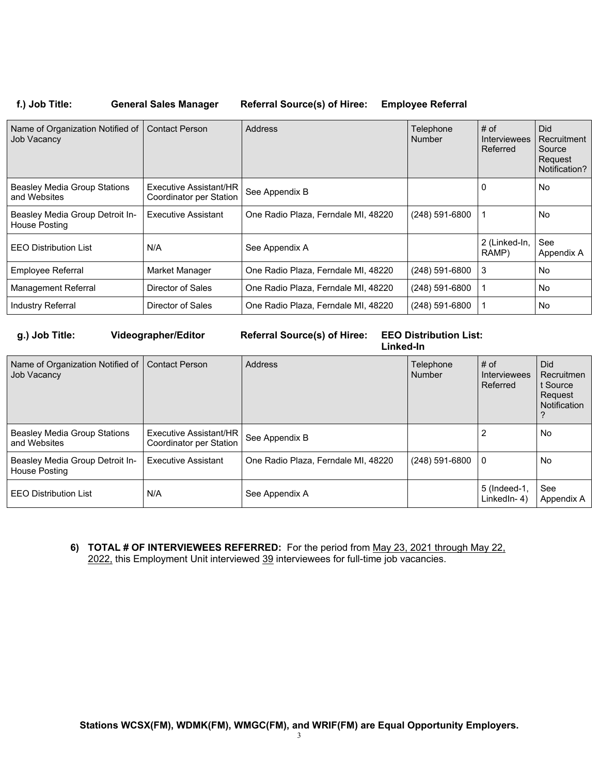# **f.) Job Title: General Sales Manager Referral Source(s) of Hiree: Employee Referral**

| Name of Organization Notified of<br>Job Vacancy  | <b>Contact Person</b>                             | <b>Address</b>                      | Telephone<br>Number | # of<br><b>Interviewees</b><br>Referred | <b>Did</b><br>Recruitment<br>Source<br>Request<br>Notification? |
|--------------------------------------------------|---------------------------------------------------|-------------------------------------|---------------------|-----------------------------------------|-----------------------------------------------------------------|
| Beasley Media Group Stations<br>and Websites     | Executive Assistant/HR<br>Coordinator per Station | See Appendix B                      |                     | 0                                       | No                                                              |
| Beasley Media Group Detroit In-<br>House Posting | Executive Assistant                               | One Radio Plaza, Ferndale MI, 48220 | $(248)$ 591-6800    |                                         | <b>No</b>                                                       |
| <b>EEO Distribution List</b>                     | N/A                                               | See Appendix A                      |                     | 2 (Linked-In,<br>RAMP)                  | See<br>Appendix A                                               |
| Employee Referral                                | Market Manager                                    | One Radio Plaza, Ferndale MI, 48220 | $(248)$ 591-6800    | 3                                       | No                                                              |
| <b>Management Referral</b>                       | Director of Sales                                 | One Radio Plaza, Ferndale MI, 48220 | $(248)$ 591-6800    |                                         | No                                                              |
| <b>Industry Referral</b>                         | Director of Sales                                 | One Radio Plaza, Ferndale MI, 48220 | (248) 591-6800      |                                         | No                                                              |

**g.) Job Title: Videographer/Editor Referral Source(s) of Hiree: EEO Distribution List: Linked-In**

| Name of Organization Notified of   Contact Person<br>Job Vacancy |                                                   | <b>Address</b>                      | Telephone<br><b>Number</b> | $#$ of<br>Interviewees<br>Referred | Did.<br>Recruitmen<br>t Source<br>Request<br>Notification |
|------------------------------------------------------------------|---------------------------------------------------|-------------------------------------|----------------------------|------------------------------------|-----------------------------------------------------------|
| Beasley Media Group Stations<br>l and Websites                   | Executive Assistant/HR<br>Coordinator per Station | See Appendix B                      |                            |                                    | No                                                        |
| Beasley Media Group Detroit In-<br>House Posting                 | <b>Executive Assistant</b>                        | One Radio Plaza, Ferndale MI, 48220 | $(248)$ 591-6800           | 0                                  | No                                                        |
| l EEO Distribution List                                          | N/A                                               | See Appendix A                      |                            | 5 (Indeed-1,<br>LinkedIn-4)        | See<br>Appendix A                                         |

**6) TOTAL # OF INTERVIEWEES REFERRED:** For the period from May 23, 2021 through May 22, 2022, this Employment Unit interviewed 39 interviewees for full-time job vacancies.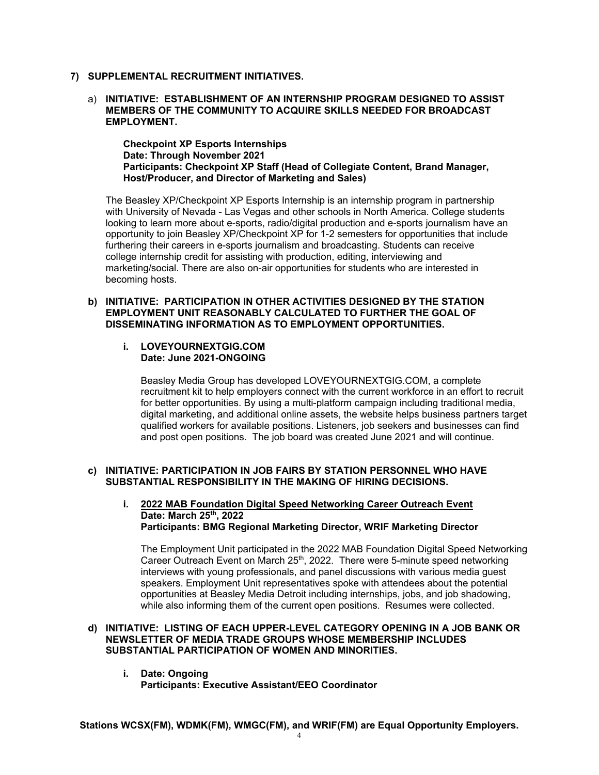- **7) SUPPLEMENTAL RECRUITMENT INITIATIVES.**
	- a) **INITIATIVE: ESTABLISHMENT OF AN INTERNSHIP PROGRAM DESIGNED TO ASSIST MEMBERS OF THE COMMUNITY TO ACQUIRE SKILLS NEEDED FOR BROADCAST EMPLOYMENT.**

**Checkpoint XP Esports Internships Date: Through November 2021 Participants: Checkpoint XP Staff (Head of Collegiate Content, Brand Manager, Host/Producer, and Director of Marketing and Sales)** 

The Beasley XP/Checkpoint XP Esports Internship is an internship program in partnership with University of Nevada - Las Vegas and other schools in North America. College students looking to learn more about e-sports, radio/digital production and e-sports journalism have an opportunity to join Beasley XP/Checkpoint XP for 1-2 semesters for opportunities that include furthering their careers in e-sports journalism and broadcasting. Students can receive college internship credit for assisting with production, editing, interviewing and marketing/social. There are also on-air opportunities for students who are interested in becoming hosts.

#### **b) INITIATIVE: PARTICIPATION IN OTHER ACTIVITIES DESIGNED BY THE STATION EMPLOYMENT UNIT REASONABLY CALCULATED TO FURTHER THE GOAL OF DISSEMINATING INFORMATION AS TO EMPLOYMENT OPPORTUNITIES.**

#### **i. LOVEYOURNEXTGIG.COM Date: June 2021-ONGOING**

Beasley Media Group has developed LOVEYOURNEXTGIG.COM, a complete recruitment kit to help employers connect with the current workforce in an effort to recruit for better opportunities. By using a multi-platform campaign including traditional media, digital marketing, and additional online assets, the website helps business partners target qualified workers for available positions. Listeners, job seekers and businesses can find and post open positions. The job board was created June 2021 and will continue.

### **c) INITIATIVE: PARTICIPATION IN JOB FAIRS BY STATION PERSONNEL WHO HAVE SUBSTANTIAL RESPONSIBILITY IN THE MAKING OF HIRING DECISIONS.**

### **i. 2022 MAB Foundation Digital Speed Networking Career Outreach Event Date: March 25th, 2022 Participants: BMG Regional Marketing Director, WRIF Marketing Director**

The Employment Unit participated in the 2022 MAB Foundation Digital Speed Networking Career Outreach Event on March 25th, 2022. There were 5-minute speed networking interviews with young professionals, and panel discussions with various media guest speakers. Employment Unit representatives spoke with attendees about the potential opportunities at Beasley Media Detroit including internships, jobs, and job shadowing, while also informing them of the current open positions. Resumes were collected.

### **d) INITIATIVE: LISTING OF EACH UPPER-LEVEL CATEGORY OPENING IN A JOB BANK OR NEWSLETTER OF MEDIA TRADE GROUPS WHOSE MEMBERSHIP INCLUDES SUBSTANTIAL PARTICIPATION OF WOMEN AND MINORITIES.**

**i. Date: Ongoing Participants: Executive Assistant/EEO Coordinator** 

**Stations WCSX(FM), WDMK(FM), WMGC(FM), and WRIF(FM) are Equal Opportunity Employers.**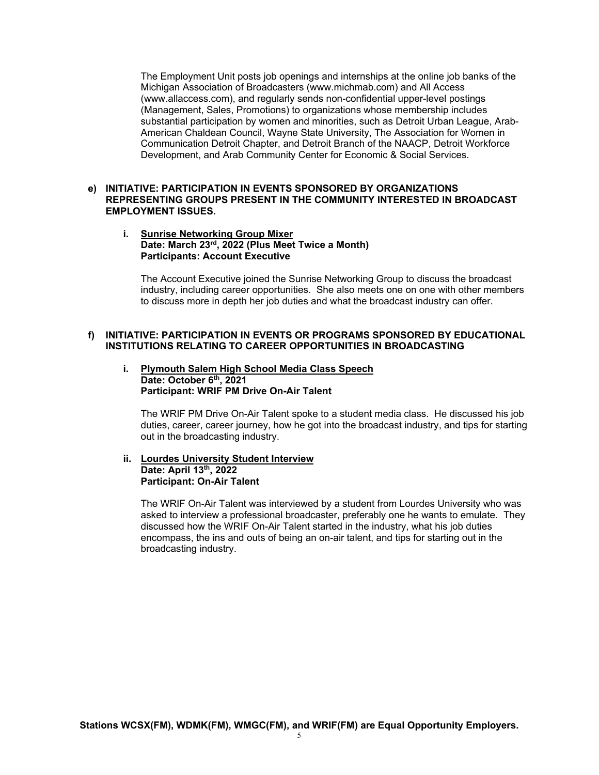The Employment Unit posts job openings and internships at the online job banks of the Michigan Association of Broadcasters (www.michmab.com) and All Access (www.allaccess.com), and regularly sends non-confidential upper-level postings (Management, Sales, Promotions) to organizations whose membership includes substantial participation by women and minorities, such as Detroit Urban League, Arab-American Chaldean Council, Wayne State University, The Association for Women in Communication Detroit Chapter, and Detroit Branch of the NAACP, Detroit Workforce Development, and Arab Community Center for Economic & Social Services.

### **e) INITIATIVE: PARTICIPATION IN EVENTS SPONSORED BY ORGANIZATIONS REPRESENTING GROUPS PRESENT IN THE COMMUNITY INTERESTED IN BROADCAST EMPLOYMENT ISSUES.**

### **i. Sunrise Networking Group Mixer Date: March 23rd, 2022 (Plus Meet Twice a Month) Participants: Account Executive**

The Account Executive joined the Sunrise Networking Group to discuss the broadcast industry, including career opportunities. She also meets one on one with other members to discuss more in depth her job duties and what the broadcast industry can offer.

#### **f) INITIATIVE: PARTICIPATION IN EVENTS OR PROGRAMS SPONSORED BY EDUCATIONAL INSTITUTIONS RELATING TO CAREER OPPORTUNITIES IN BROADCASTING**

#### **i. Plymouth Salem High School Media Class Speech**  Date: October 6<sup>th</sup>, 2021 **Participant: WRIF PM Drive On-Air Talent**

The WRIF PM Drive On-Air Talent spoke to a student media class. He discussed his job duties, career, career journey, how he got into the broadcast industry, and tips for starting out in the broadcasting industry.

#### **ii. Lourdes University Student Interview Date: April 13th, 2022 Participant: On-Air Talent**

The WRIF On-Air Talent was interviewed by a student from Lourdes University who was asked to interview a professional broadcaster, preferably one he wants to emulate. They discussed how the WRIF On-Air Talent started in the industry, what his job duties encompass, the ins and outs of being an on-air talent, and tips for starting out in the broadcasting industry.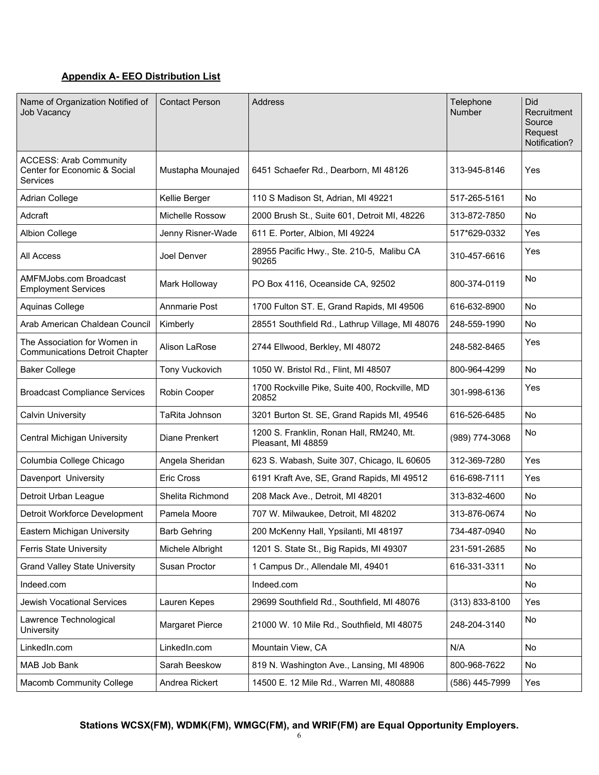# **Appendix A- EEO Distribution List**

| Name of Organization Notified of<br><b>Job Vacancy</b>                    | <b>Contact Person</b> | Address                                                        | Telephone<br><b>Number</b> | Did<br>Recruitment<br>Source<br>Request<br>Notification? |
|---------------------------------------------------------------------------|-----------------------|----------------------------------------------------------------|----------------------------|----------------------------------------------------------|
| <b>ACCESS: Arab Community</b><br>Center for Economic & Social<br>Services | Mustapha Mounajed     | 6451 Schaefer Rd., Dearborn, MI 48126                          | 313-945-8146               | Yes                                                      |
| Adrian College                                                            | Kellie Berger         | 110 S Madison St, Adrian, MI 49221                             | 517-265-5161               | No                                                       |
| Adcraft                                                                   | Michelle Rossow       | 2000 Brush St., Suite 601, Detroit MI, 48226                   | 313-872-7850               | No                                                       |
| Albion College                                                            | Jenny Risner-Wade     | 611 E. Porter, Albion, MI 49224                                | 517*629-0332               | Yes                                                      |
| All Access                                                                | Joel Denver           | 28955 Pacific Hwy., Ste. 210-5, Malibu CA<br>90265             | 310-457-6616               | Yes                                                      |
| <b>AMFMJobs.com Broadcast</b><br><b>Employment Services</b>               | Mark Holloway         | PO Box 4116, Oceanside CA, 92502                               | 800-374-0119               | No                                                       |
| Aquinas College                                                           | <b>Annmarie Post</b>  | 1700 Fulton ST. E, Grand Rapids, MI 49506                      | 616-632-8900               | No                                                       |
| Arab American Chaldean Council                                            | Kimberly              | 28551 Southfield Rd., Lathrup Village, MI 48076                | 248-559-1990               | No                                                       |
| The Association for Women in<br><b>Communications Detroit Chapter</b>     | Alison LaRose         | 2744 Ellwood, Berkley, MI 48072                                | 248-582-8465               | Yes                                                      |
| <b>Baker College</b>                                                      | Tony Vuckovich        | 1050 W. Bristol Rd., Flint, MI 48507                           | 800-964-4299               | No                                                       |
| <b>Broadcast Compliance Services</b>                                      | Robin Cooper          | 1700 Rockville Pike, Suite 400, Rockville, MD<br>20852         | 301-998-6136               | Yes                                                      |
| <b>Calvin University</b>                                                  | TaRita Johnson        | 3201 Burton St. SE, Grand Rapids MI, 49546                     | 616-526-6485               | No                                                       |
| Central Michigan University                                               | Diane Prenkert        | 1200 S. Franklin, Ronan Hall, RM240, Mt.<br>Pleasant, MI 48859 | (989) 774-3068             | No                                                       |
| Columbia College Chicago                                                  | Angela Sheridan       | 623 S. Wabash, Suite 307, Chicago, IL 60605                    | 312-369-7280               | Yes                                                      |
| Davenport University                                                      | <b>Eric Cross</b>     | 6191 Kraft Ave, SE, Grand Rapids, MI 49512                     | 616-698-7111               | Yes                                                      |
| Detroit Urban League                                                      | Shelita Richmond      | 208 Mack Ave., Detroit, MI 48201                               | 313-832-4600               | No                                                       |
| Detroit Workforce Development                                             | Pamela Moore          | 707 W. Milwaukee, Detroit, MI 48202                            | 313-876-0674               | No                                                       |
| Eastern Michigan University                                               | <b>Barb Gehring</b>   | 200 McKenny Hall, Ypsilanti, MI 48197                          | 734-487-0940               | No                                                       |
| <b>Ferris State University</b>                                            | Michele Albright      | 1201 S. State St., Big Rapids, MI 49307                        | 231-591-2685               | No                                                       |
| <b>Grand Valley State University</b>                                      | Susan Proctor         | 1 Campus Dr., Allendale MI, 49401                              | 616-331-3311               | No                                                       |
| Indeed.com                                                                |                       | Indeed.com                                                     |                            | No                                                       |
| <b>Jewish Vocational Services</b>                                         | Lauren Kepes          | 29699 Southfield Rd., Southfield, MI 48076                     | $(313) 833 - 8100$         | Yes                                                      |
| Lawrence Technological<br>University                                      | Margaret Pierce       | 21000 W. 10 Mile Rd., Southfield, MI 48075                     | 248-204-3140               | No                                                       |
| LinkedIn.com                                                              | LinkedIn.com          | Mountain View, CA                                              | N/A                        | No                                                       |
| MAB Job Bank                                                              | Sarah Beeskow         | 819 N. Washington Ave., Lansing, MI 48906                      | 800-968-7622               | No                                                       |
| Macomb Community College                                                  | Andrea Rickert        | 14500 E. 12 Mile Rd., Warren MI, 480888                        | (586) 445-7999             | Yes                                                      |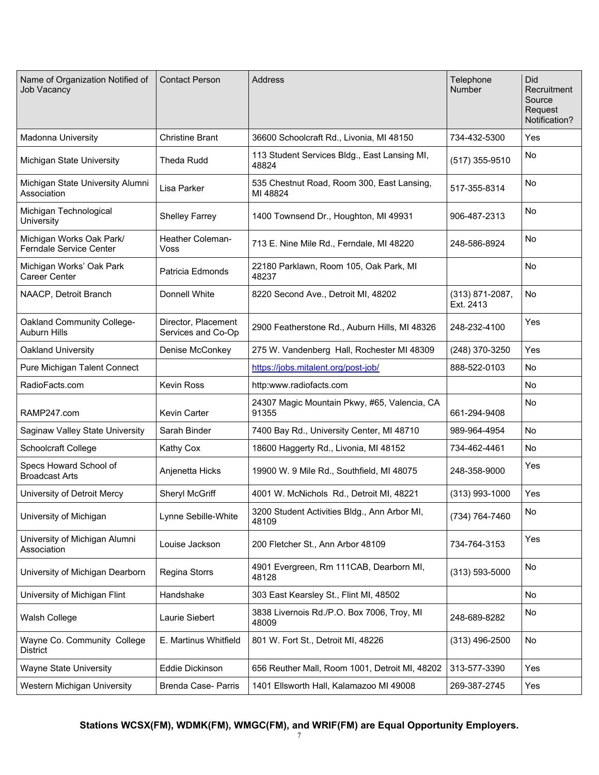| Name of Organization Notified of<br><b>Job Vacancy</b>     | <b>Contact Person</b>                     | <b>Address</b>                                         | Telephone<br>Number              | Did<br>Recruitment<br>Source<br>Request<br>Notification? |
|------------------------------------------------------------|-------------------------------------------|--------------------------------------------------------|----------------------------------|----------------------------------------------------------|
| <b>Madonna University</b>                                  | <b>Christine Brant</b>                    | 36600 Schoolcraft Rd., Livonia, MI 48150               | 734-432-5300                     | Yes                                                      |
| Michigan State University                                  | <b>Theda Rudd</b>                         | 113 Student Services Bldg., East Lansing MI,<br>48824  | $(517)$ 355-9510                 | No                                                       |
| Michigan State University Alumni<br>Association            | Lisa Parker                               | 535 Chestnut Road, Room 300, East Lansing,<br>MI 48824 | 517-355-8314                     | <b>No</b>                                                |
| Michigan Technological<br>University                       | <b>Shelley Farrey</b>                     | 1400 Townsend Dr., Houghton, MI 49931                  | 906-487-2313                     | No                                                       |
| Michigan Works Oak Park/<br><b>Ferndale Service Center</b> | <b>Heather Coleman-</b><br>Voss           | 713 E. Nine Mile Rd., Ferndale, MI 48220               | 248-586-8924                     | No                                                       |
| Michigan Works' Oak Park<br>Career Center                  | Patricia Edmonds                          | 22180 Parklawn, Room 105, Oak Park, MI<br>48237        |                                  | <b>No</b>                                                |
| NAACP, Detroit Branch                                      | Donnell White                             | 8220 Second Ave., Detroit MI, 48202                    | $(313) 871 - 2087,$<br>Ext. 2413 | <b>No</b>                                                |
| Oakland Community College-<br>Auburn Hills                 | Director, Placement<br>Services and Co-Op | 2900 Featherstone Rd., Auburn Hills, MI 48326          | 248-232-4100                     | Yes                                                      |
| Oakland University                                         | Denise McConkey                           | 275 W. Vandenberg Hall, Rochester MI 48309             | (248) 370-3250                   | Yes                                                      |
| Pure Michigan Talent Connect                               |                                           | https://jobs.mitalent.org/post-job/                    | 888-522-0103                     | No                                                       |
| RadioFacts.com                                             | <b>Kevin Ross</b>                         | http:www.radiofacts.com                                |                                  | No                                                       |
| RAMP247.com                                                | Kevin Carter                              | 24307 Magic Mountain Pkwy, #65, Valencia, CA<br>91355  | 661-294-9408                     | No                                                       |
| Saginaw Valley State University                            | Sarah Binder                              | 7400 Bay Rd., University Center, MI 48710              | 989-964-4954                     | No                                                       |
| Schoolcraft College                                        | <b>Kathy Cox</b>                          | 18600 Haggerty Rd., Livonia, MI 48152                  | 734-462-4461                     | No                                                       |
| Specs Howard School of<br><b>Broadcast Arts</b>            | Anjenetta Hicks                           | 19900 W. 9 Mile Rd., Southfield, MI 48075              | 248-358-9000                     | Yes                                                      |
| University of Detroit Mercy                                | Sheryl McGriff                            | 4001 W. McNichols Rd., Detroit MI, 48221               | $(313)$ 993-1000                 | Yes                                                      |
| University of Michigan                                     | Lynne Sebille-White                       | 3200 Student Activities Bldg., Ann Arbor MI,<br>48109  | (734) 764-7460                   | No                                                       |
| University of Michigan Alumni<br>Association               | Louise Jackson                            | 200 Fletcher St., Ann Arbor 48109                      | 734-764-3153                     | Yes                                                      |
| University of Michigan Dearborn                            | Regina Storrs                             | 4901 Evergreen, Rm 111CAB, Dearborn MI,<br>48128       | $(313) 593 - 5000$               | No                                                       |
| University of Michigan Flint                               | Handshake                                 | 303 East Kearsley St., Flint MI, 48502                 |                                  | No                                                       |
| Walsh College                                              | Laurie Siebert                            | 3838 Livernois Rd./P.O. Box 7006, Troy, MI<br>48009    | 248-689-8282                     | No                                                       |
| Wayne Co. Community College<br><b>District</b>             | E. Martinus Whitfield                     | 801 W. Fort St., Detroit MI, 48226                     | $(313)$ 496-2500                 | No                                                       |
| Wayne State University                                     | Eddie Dickinson                           | 656 Reuther Mall, Room 1001, Detroit MI, 48202         | 313-577-3390                     | Yes                                                      |
| Western Michigan University                                | Brenda Case- Parris                       | 1401 Ellsworth Hall, Kalamazoo MI 49008                | 269-387-2745                     | Yes                                                      |